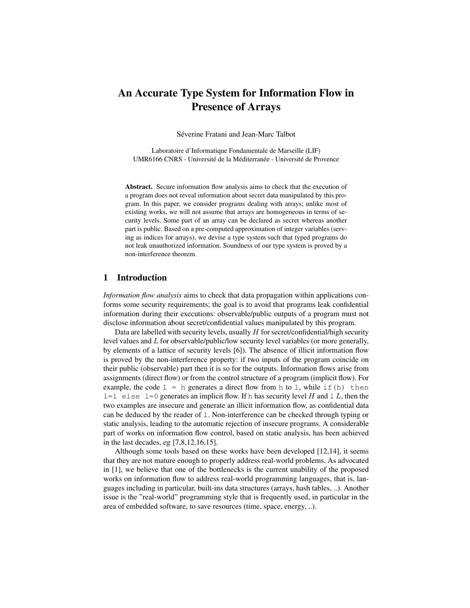# An Accurate Type System for Information Flow in Presence of Arrays

Séverine Fratani and Jean-Marc Talbot

Laboratoire d'Informatique Fondamentale de Marseille (LIF) UMR6166 CNRS - Université de la Méditerranée - Université de Provence

Abstract. Secure information flow analysis aims to check that the execution of a program does not reveal information about secret data manipulated by this program. In this paper, we consider programs dealing with arrays; unlike most of existing works, we will not assume that arrays are homogeneous in terms of security levels. Some part of an array can be declared as secret whereas another part is public. Based on a pre-computed approximation of integer variables (serving as indices for arrays), we devise a type system such that typed programs do not leak unauthorized information. Soundness of our type system is proved by a non-interference theorem.

# 1 Introduction

*Information flow analysis* aims to check that data propagation within applications conforms some security requirements; the goal is to avoid that programs leak confidential information during their executions: observable/public outputs of a program must not disclose information about secret/confidential values manipulated by this program.

Data are labelled with security levels, usually  $H$  for secret/confidential/high security level values and L for observable/public/low security level variables (or more generally, by elements of a lattice of security levels [6]). The absence of illicit information flow is proved by the non-interference property: if two inputs of the program coincide on their public (observable) part then it is so for the outputs. Information flows arise from assignments (direct flow) or from the control structure of a program (implicit flow). For example, the code  $l = h$  generates a direct flow from h to l, while if (h) then  $l=1$  else  $l=0$  generates an implicit flow. If h has security level H and  $l L$ , then the two examples are insecure and generate an illicit information flow, as confidential data can be deduced by the reader of l. Non-interference can be checked through typing or static analysis, leading to the automatic rejection of insecure programs. A considerable part of works on information flow control, based on static analysis, has been achieved in the last decades, eg [7,8,12,16,15].

Although some tools based on these works have been developed [12,14], it seems that they are not mature enough to properly address real-world problems. As advocated in [1], we believe that one of the bottlenecks is the current unability of the proposed works on information flow to address real-world programming languages, that is, languages including in particular, built-ins data structures (arrays, hash tables, ..). Another issue is the "real-world" programming style that is frequently used, in particular in the area of embedded software, to save resources (time, space, energy, ..).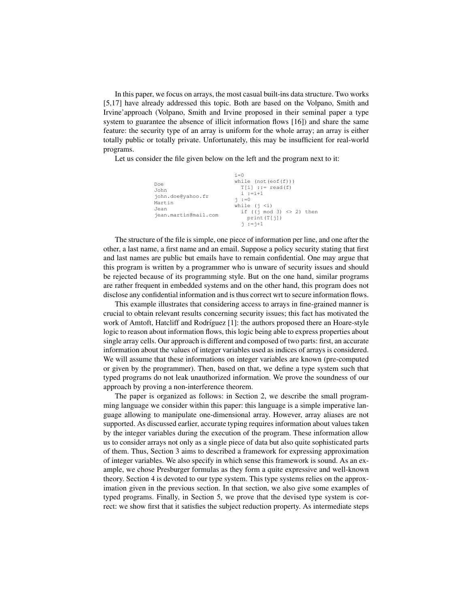In this paper, we focus on arrays, the most casual built-ins data structure. Two works [5,17] have already addressed this topic. Both are based on the Volpano, Smith and Irvine'approach (Volpano, Smith and Irvine proposed in their seminal paper a type system to guarantee the absence of illicit information flows [16]) and share the same feature: the security type of an array is uniform for the whole array; an array is either totally public or totally private. Unfortunately, this may be insufficient for real-world programs.

Let us consider the file given below on the left and the program next to it:

| Doe<br>John<br>john.doe@yahoo.fr<br>Martin<br>Jean<br>jean.martin@mail.com | $i = 0$<br>while $(not (eof (f)))$<br>$T[i]$ ::= read(f)<br>$i := i+1$<br>$\vdots$ := 0<br>while $(i \leq i)$<br>if $((\dagger \mod 3) \lt\gt 2)$ then<br>print(T[j])<br>$i := i + 1$ |
|----------------------------------------------------------------------------|---------------------------------------------------------------------------------------------------------------------------------------------------------------------------------------|
|----------------------------------------------------------------------------|---------------------------------------------------------------------------------------------------------------------------------------------------------------------------------------|

The structure of the file is simple, one piece of information per line, and one after the other, a last name, a first name and an email. Suppose a policy security stating that first and last names are public but emails have to remain confidential. One may argue that this program is written by a programmer who is unware of security issues and should be rejected because of its programming style. But on the one hand, similar programs are rather frequent in embedded systems and on the other hand, this program does not disclose any confidential information and is thus correct wrt to secure information flows.

This example illustrates that considering access to arrays in fine-grained manner is crucial to obtain relevant results concerning security issues; this fact has motivated the work of Amtoft, Hatcliff and Rodríguez [1]: the authors proposed there an Hoare-style logic to reason about information flows, this logic being able to express properties about single array cells. Our approach is different and composed of two parts: first, an accurate information about the values of integer variables used as indices of arrays is considered. We will assume that these informations on integer variables are known (pre-computed or given by the programmer). Then, based on that, we define a type system such that typed programs do not leak unauthorized information. We prove the soundness of our approach by proving a non-interference theorem.

The paper is organized as follows: in Section 2, we describe the small programming language we consider within this paper: this language is a simple imperative language allowing to manipulate one-dimensional array. However, array aliases are not supported. As discussed earlier, accurate typing requires information about values taken by the integer variables during the execution of the program. These information allow us to consider arrays not only as a single piece of data but also quite sophisticated parts of them. Thus, Section 3 aims to described a framework for expressing approximation of integer variables. We also specify in which sense this framework is sound. As an example, we chose Presburger formulas as they form a quite expressive and well-known theory. Section 4 is devoted to our type system. This type systems relies on the approximation given in the previous section. In that section, we also give some examples of typed programs. Finally, in Section 5, we prove that the devised type system is correct: we show first that it satisfies the subject reduction property. As intermediate steps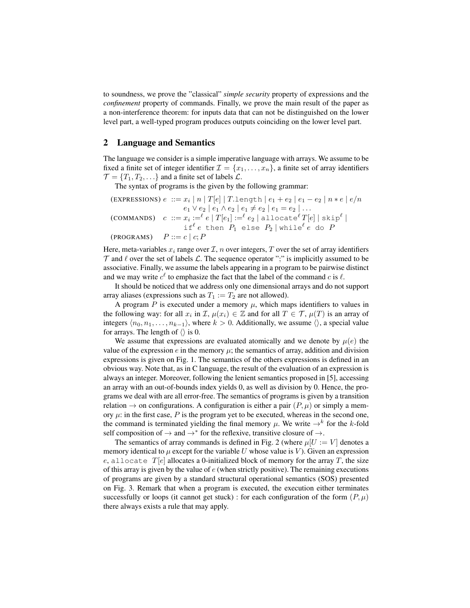to soundness, we prove the "classical" *simple security* property of expressions and the *confinement* property of commands. Finally, we prove the main result of the paper as a non-interference theorem: for inputs data that can not be distinguished on the lower level part, a well-typed program produces outputs coinciding on the lower level part.

# 2 Language and Semantics

The language we consider is a simple imperative language with arrays. We assume to be fixed a finite set of integer identifier  $\mathcal{I} = \{x_1, \ldots, x_n\}$ , a finite set of array identifiers  $\mathcal{T} = \{T_1, T_2, \ldots\}$  and a finite set of labels  $\mathcal{L}$ .

The syntax of programs is the given by the following grammar:

(EXPRESSIONS) $e\ ::=x_i\mid n\mid T[e]\mid T.$ length $\mid e_1+e_2\mid e_1-e_2\mid n*e\mid e/n$  $e_1 \vee e_2 \mid e_1 \wedge e_2 \mid e_1 \neq e_2 \mid e_1 = e_2 \mid \dots$ (COMMANDS)  $c\ ::= x_i :=^{\ell} e \; | \; T[e_1]:=^{\ell} e_2 \; | \; \text{allocate}^{\ell} \, T[e] \; | \; \text{skip}^{\ell} \; |$ if $^\ell\,e$  then  $P_1$  else  $P_2 \mid$  while $^\ell\,e$  do  $P$ (PROGRAMS)  $P ::= c | c; P$ 

Here, meta-variables  $x_i$  range over  $\mathcal{I}$ , n over integers,  $T$  over the set of array identifiers  $\mathcal T$  and  $\ell$  over the set of labels  $\mathcal L$ . The sequence operator ";" is implicitly assumed to be associative. Finally, we assume the labels appearing in a program to be pairwise distinct and we may write  $c^{\ell}$  to emphasize the fact that the label of the command  $c$  is  $\ell$ .

It should be noticed that we address only one dimensional arrays and do not support array aliases (expressions such as  $T_1 := T_2$  are not allowed).

A program  $P$  is executed under a memory  $\mu$ , which maps identifiers to values in the following way: for all  $x_i$  in  $\mathcal{I}, \mu(x_i) \in \mathbb{Z}$  and for all  $T \in \mathcal{T}, \mu(T)$  is an array of integers  $\langle n_0, n_1, \ldots, n_{k-1} \rangle$ , where  $k > 0$ . Additionally, we assume  $\langle \rangle$ , a special value for arrays. The length of  $\langle \rangle$  is 0.

We assume that expressions are evaluated atomically and we denote by  $\mu(e)$  the value of the expression e in the memory  $\mu$ ; the semantics of array, addition and division expressions is given on Fig. 1. The semantics of the others expressions is defined in an obvious way. Note that, as in C language, the result of the evaluation of an expression is always an integer. Moreover, following the lenient semantics proposed in [5], accessing an array with an out-of-bounds index yields 0, as well as division by 0. Hence, the programs we deal with are all error-free. The semantics of programs is given by a transition relation  $\rightarrow$  on configurations. A configuration is either a pair  $(P, \mu)$  or simply a memory  $\mu$ : in the first case, P is the program yet to be executed, whereas in the second one, the command is terminated yielding the final memory  $\mu$ . We write  $\rightarrow^{k}$  for the k-fold self composition of  $\rightarrow$  and  $\rightarrow^*$  for the reflexive, transitive closure of  $\rightarrow$ .

The semantics of array commands is defined in Fig. 2 (where  $\mu[U] := V$  denotes a memory identical to  $\mu$  except for the variable U whose value is V). Given an expression e, allocate  $T[e]$  allocates a 0-initialized block of memory for the array T, the size of this array is given by the value of  $e$  (when strictly positive). The remaining executions of programs are given by a standard structural operational semantics (SOS) presented on Fig. 3. Remark that when a program is executed, the execution either terminates successfully or loops (it cannot get stuck) : for each configuration of the form  $(P, \mu)$ there always exists a rule that may apply.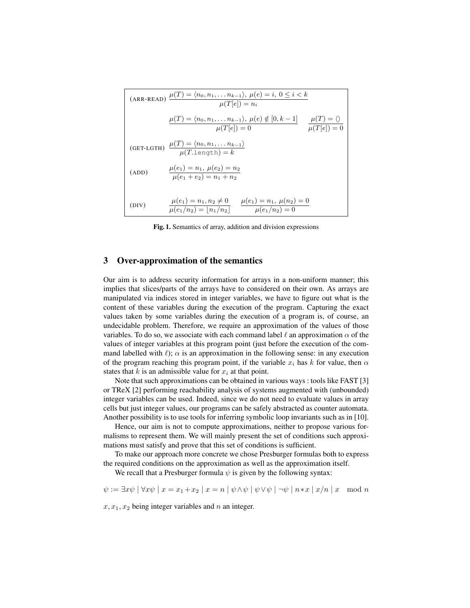$$
\begin{array}{|c|l|}\n\hline\n\text{(ARR-READ)} & \mu(T) = \langle n_0, n_1, \dots, n_{k-1} \rangle, \, \mu(e) = i, \, 0 \le i < k \\
& \mu(T[e]) = n_i \\
& \mu(T) = \langle n_0, n_1, \dots, n_{k-1} \rangle, \, \mu(e) \notin [0, k-1] \\
& \mu(T) = \langle n_0, n_1, \dots, n_{k-1} \rangle, \, \mu(T) = \langle n_0, n_1, \dots, n_{k-1} \rangle, \\
\hline\n\text{(GET-LGTH)} & \mu(T) = \langle n_0, n_1, \dots, n_{k-1} \rangle, \\
\hline\n\mu(T) = \langle n_0, n_1, \dots, n_{k-1} \rangle, \\
\hline\n\mu(T) = \langle n_0, n_1, \dots, n_{k-1} \rangle, \\
\hline\n\mu(T) = \langle n_0, n_1, \dots, n_{k-1} \rangle, \\
\hline\n\mu(T) = \langle n_0, n_1, \dots, n_{k-1} \rangle, \\
\hline\n\mu(T) = \langle n_0, n_1, \dots, n_{k-1} \rangle, \, \mu(T) = \langle n_0, n_1, \dots, n_{k-1} \rangle, \\
\hline\n\mu(T) = \langle n_0, n_1, \dots, n_{k-1} \rangle, \, \mu(T) = \langle n_0, n_1, \dots, n_{k-1} \rangle, \\
\hline\n\mu(T) = \langle n_0, n_1, \dots, n_{k-1} \rangle, \, \mu(T) = \langle n_0, n_1, \dots, n_{k-1} \rangle, \, \mu(T) = \langle n_0, n_1, \dots, n_{k-1} \rangle, \\
\hline\n\mu(T) = \langle n_0, n_1, \dots, n_{k-1} \rangle, \, \mu(T) = \langle n_0, n_1, \dots, n_{k-1} \rangle, \\
\hline\n\mu(T) = \langle n_0, n_1, \dots, n_{k-1} \rangle, \, \mu(T) = \langle n_0, n_1, \dots, n_{k-1} \rangle, \\
\hline\n\mu(T) = \langle n_0, n_1, \dots, n_{k-1} \rangle, \, \mu(T) = \langle n_0, n_1, \dots, n_{k-1} \rangle, \\
\hline\n\
$$

Fig. 1. Semantics of array, addition and division expressions

## 3 Over-approximation of the semantics

Our aim is to address security information for arrays in a non-uniform manner; this implies that slices/parts of the arrays have to considered on their own. As arrays are manipulated via indices stored in integer variables, we have to figure out what is the content of these variables during the execution of the program. Capturing the exact values taken by some variables during the execution of a program is, of course, an undecidable problem. Therefore, we require an approximation of the values of those variables. To do so, we associate with each command label  $\ell$  an approximation  $\alpha$  of the values of integer variables at this program point (just before the execution of the command labelled with  $\ell$ );  $\alpha$  is an approximation in the following sense: in any execution of the program reaching this program point, if the variable  $x_i$  has k for value, then  $\alpha$ states that  $k$  is an admissible value for  $x_i$  at that point.

Note that such approximations can be obtained in various ways : tools like FAST [3] or TReX [2] performing reachability analysis of systems augmented with (unbounded) integer variables can be used. Indeed, since we do not need to evaluate values in array cells but just integer values, our programs can be safely abstracted as counter automata. Another possibility is to use tools for inferring symbolic loop invariants such as in [10].

Hence, our aim is not to compute approximations, neither to propose various formalisms to represent them. We will mainly present the set of conditions such approximations must satisfy and prove that this set of conditions is sufficient.

To make our approach more concrete we chose Presburger formulas both to express the required conditions on the approximation as well as the approximation itself.

We recall that a Presburger formula  $\psi$  is given by the following syntax:

 $\psi := \exists x \psi \mid \forall x \psi \mid x = x_1 + x_2 \mid x = n \mid \psi \wedge \psi \mid \psi \vee \psi \mid \neg \psi \mid n * x \mid x/n \mid x \mod n$ 

 $x, x_1, x_2$  being integer variables and n an integer.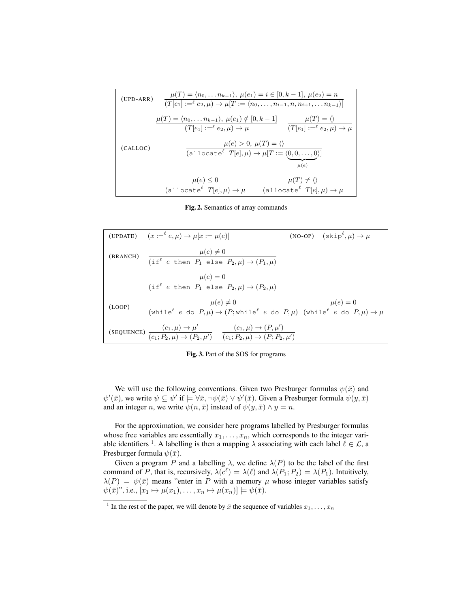$$
\mu(T) = \langle n_0, \dots, n_{k-1} \rangle, \ \mu(e_1) = i \in [0, k-1], \ \mu(e_2) = n
$$
\n
$$
\mu(T) = \langle n_0, \dots, n_{k-1} \rangle, \ \mu(T) := \langle n_0, \dots, n_{i-1}, n, n_{i+1}, \dots, n_{k-1} \rangle]
$$
\n
$$
\mu(T) = \langle n_0, \dots, n_{k-1} \rangle, \ \mu(e_1) \notin [0, k-1] \qquad \mu(T) = \langle \rangle
$$
\n
$$
\mu(T) = \langle n_0, \dots, n_{k-1} \rangle, \ \mu(e_1) \notin [0, k-1] \qquad \mu(T) = \langle \rangle
$$
\n
$$
\mu(e) > 0, \ \mu(T) = \langle \rangle
$$
\n
$$
\mu(e) > 0, \ \mu(T) = \langle 0, 0, \dots, 0 \rangle]
$$
\n
$$
\mu(e) \leq 0 \qquad \mu(T) \neq \langle \rangle
$$
\n
$$
\mu(e) \leq 0 \qquad \mu(T) \neq \langle \rangle
$$
\n
$$
\mu(T) \neq \langle \rangle
$$
\n
$$
\mu(T) \neq \langle \rangle
$$
\n
$$
\mu(e) \leq 0 \qquad \mu(T) \neq \langle \rangle
$$
\n
$$
\mu(T) \neq \langle \rangle
$$

Fig. 2. Semantics of array commands



Fig. 3. Part of the SOS for programs

We will use the following conventions. Given two Presburger formulas  $\psi(\bar{x})$  and  $\psi'(\bar{x})$ , we write  $\psi \subseteq \psi'$  if  $\models \forall \bar{x}, \neg \psi(\bar{x}) \vee \psi'(\bar{x})$ . Given a Presburger formula  $\psi(y, \bar{x})$ and an integer n, we write  $\psi(n, \bar{x})$  instead of  $\psi(y, \bar{x}) \wedge y = n$ .

For the approximation, we consider here programs labelled by Presburger formulas whose free variables are essentially  $x_1, \ldots, x_n$ , which corresponds to the integer variable identifiers <sup>1</sup>. A labelling is then a mapping  $\lambda$  associating with each label  $\ell \in \mathcal{L}$ , a Presburger formula  $\psi(\bar{x})$ .

Given a program P and a labelling  $\lambda$ , we define  $\lambda(P)$  to be the label of the first command of P, that is, recursively,  $\lambda(c^{\ell}) = \lambda(\ell)$  and  $\lambda(P_1; P_2) = \lambda(P_1)$ . Intuitively,  $\lambda(P) = \psi(\bar{x})$  means "enter in P with a memory  $\mu$  whose integer variables satisfy  $\psi(\bar{x})$ ", i.e.,  $[x_1 \mapsto \mu(x_1), \ldots, x_n \mapsto \mu(x_n)] \models \psi(\bar{x})$ .

<sup>&</sup>lt;sup>1</sup> In the rest of the paper, we will denote by  $\bar{x}$  the sequence of variables  $x_1, \ldots, x_n$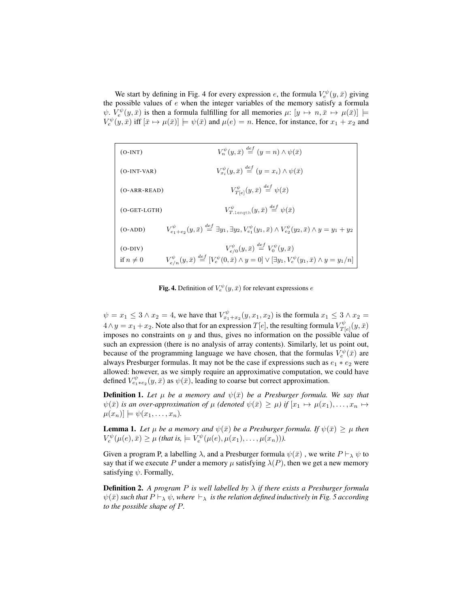We start by defining in Fig. 4 for every expression e, the formula  $V_e^{\psi}(y, \bar{x})$  giving the possible values of  $e$  when the integer variables of the memory satisfy a formula  $\psi$ .  $V_e^{\psi}(y, \bar{x})$  is then a formula fulfilling for all memories  $\mu$ :  $[y \mapsto n, \bar{x} \mapsto \mu(\bar{x})] \models$  $V_e^{\psi}(y, \bar{x})$  iff  $[\bar{x} \mapsto \mu(\bar{x})] \models \psi(\bar{x})$  and  $\mu(e) = n$ . Hence, for instance, for  $x_1 + x_2$  and

| $(O-INT)$      | $V_r^{\psi}(y, \bar{x}) \stackrel{def}{=} (y = n) \wedge \psi(\bar{x})$                                                                                         |
|----------------|-----------------------------------------------------------------------------------------------------------------------------------------------------------------|
| $(O-INT-VAR)$  | $V_{\tau}^{\psi}(y,\bar{x}) \stackrel{def}{=} (y=x_i) \wedge \psi(\bar{x})$                                                                                     |
| $(O-ARR-READ)$ | $V_{T[e]}^{\psi}(y,\bar{x}) \stackrel{def}{=} \psi(\bar{x})$                                                                                                    |
| $(O-GET-LGTH)$ | $V^{\psi}_{T \text{ length}}(y, \bar{x}) \stackrel{\text{def}}{=} \psi(\bar{x})$                                                                                |
| $(O-ADD)$      | $V_{e_1+e_2}^{\psi}(y,\bar{x}) \stackrel{def}{=} \exists y_1, \exists y_2, V_{e_1}^{\psi}(y_1,\bar{x}) \wedge V_{e_2}^{\psi}(y_2,\bar{x}) \wedge y = y_1 + y_2$ |
| $(O-DIV)$      | $V_{e/0}^{\psi}(y,\bar{x}) \stackrel{def}{=} V_0^{\psi}(y,\bar{x})$                                                                                             |
| if $n \neq 0$  | $V_{e/n}^{\psi}(y, \bar{x}) \stackrel{def}{=} [V_e^{\psi}(0, \bar{x}) \wedge y = 0] \vee [\exists y_1, V_e^{\psi}(y_1, \bar{x}) \wedge y = y_1/n]$              |

**Fig. 4.** Definition of  $V_e^{\psi}(y, \bar{x})$  for relevant expressions e

 $\psi = x_1 \leq 3 \wedge x_2 = 4$ , we have that  $V_{x_1+x_2}^{\psi}(y, x_1, x_2)$  is the formula  $x_1 \leq 3 \wedge x_2 = 1$  $4 \wedge y = x_1 + x_2$ . Note also that for an expression  $T[e]$ , the resulting formula  $V_{T[}^{\psi}$  $T_{[e]}^{\psi}(y,\bar{x})$ imposes no constraints on y and thus, gives no information on the possible value of such an expression (there is no analysis of array contents). Similarly, let us point out, because of the programming language we have chosen, that the formulas  $V_e^{\psi}(\bar{x})$  are always Presburger formulas. It may not be the case if expressions such as  $e_1 * e_2$  were allowed: however, as we simply require an approximative computation, we could have defined  $V_{e_1*e_2}^{\psi}(y,\bar{x})$  as  $\psi(\bar{x})$ , leading to coarse but correct approximation.

**Definition 1.** Let  $\mu$  be a memory and  $\psi(\bar{x})$  be a Presburger formula. We say that  $\psi(\bar{x})$  *is an over-approximation of*  $\mu$  *(denoted*  $\psi(\bar{x}) \ge \mu$ *) if*  $[x_1 \mapsto \mu(x_1), \ldots, x_n \mapsto$  $\mu(x_n)$   $\models \psi(x_1,\ldots,x_n)$ .

**Lemma 1.** Let  $\mu$  be a memory and  $\psi(\bar{x})$  be a Presburger formula. If  $\psi(\bar{x}) \geq \mu$  then  $V_e^{\psi}(\mu(e), \bar{x}) \ge \mu$  (that is,  $\models V_e^{\psi}(\mu(e), \mu(x_1), \dots, \mu(x_n))$ ).

Given a program P, a labelling  $\lambda$ , and a Presburger formula  $\psi(\bar{x})$ , we write  $P \vdash_{\lambda} \psi$  to say that if we execute P under a memory  $\mu$  satisfying  $\lambda(P)$ , then we get a new memory satisfying  $\psi$ . Formally,

**Definition 2.** A program P is well labelled by  $\lambda$  if there exists a Presburger formula  $\psi(\bar{x})$  *such that*  $P \vdash_{\lambda} \psi$ *, where*  $\vdash_{\lambda}$  *is the relation defined inductively in Fig. 5 according to the possible shape of* P*.*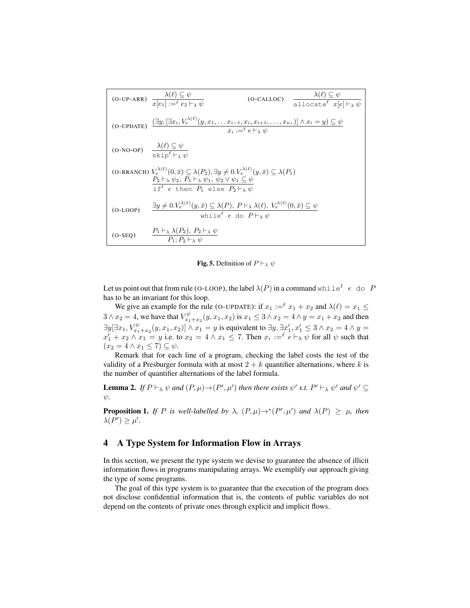(0-UP-ARR) 
$$
\frac{\lambda(\ell) \subseteq \psi}{x[e_1] := \ell e_2 \vdash \lambda \psi}
$$
 (0-CALLOC)  $\frac{\lambda(\ell) \subseteq \psi}{a \text{llocate}^{\ell} x[e] \vdash \lambda \psi}$   
\n(0-UPDATE)  $\frac{(\exists y, [\exists x_i, V_e^{\lambda(\ell)}(y, x_1, \ldots, x_{i-1}, x_i, x_{i+1}, \ldots, x_n,)] \wedge x_i = y) \subseteq \psi}{x_i := \ell e \vdash \lambda \psi}$   
\n(0-NO-OP)  $\frac{\lambda(\ell) \subseteq \psi}{\text{skip}^{\ell} \vdash \lambda \psi}$   
\n(0-BRARCH)  $V_e^{\lambda(\ell)}(0, \bar{x}) \subseteq \lambda(P_2), \exists y \neq 0. V_e^{\lambda(\ell)}(y, \bar{x}) \subseteq \lambda(P_1)$   
\n $\frac{P_2 \vdash \lambda \psi_2, P_1 \vdash \lambda \psi_1, \psi_2 \vee \psi_1 \subseteq \psi}{\text{if}^{\ell} e \text{ then } P_1 \text{ else } P_2 \vdash \lambda \psi}$   
\n(0-LOOP)  $\frac{\exists y \neq 0. V_e^{\lambda(\ell)}(y, \bar{x}) \subseteq \lambda(P), P \vdash \lambda \lambda(\ell), V_e^{\lambda(\ell)}(0, \bar{x}) \subseteq \psi}{\text{while}^{\ell} e \text{ do } P \vdash \lambda \psi}$   
\n(0-SEQ)  $\frac{P_1 \vdash \lambda \lambda(P_2), P_2 \vdash \lambda \psi}{P_1; P_2 \vdash \lambda \psi}$ 

**Fig. 5.** Definition of  $P \vdash_{\lambda} \psi$ 

Let us point out that from rule (O-LOOP), the label  $\lambda(P)$  in a command while  $^{\ell}$  e do  $P$ has to be an invariant for this loop.

We give an example for the rule (O-UPDATE): if  $x_1 :=^{\ell} x_1 + x_2$  and  $\lambda(\ell) = x_1 \leq$  $3 \wedge x_2 = 4$ , we have that  $V_{x_1+x_2}^{\psi}(y, x_1, x_2)$  is  $x_1 \leq 3 \wedge x_2 = 4 \wedge y = x_1 + x_2$  and then  $\exists y[\exists x_1, V_{x_1+x_2}^{\psi}(y, x_1, x_2)] \wedge x_1 = y$  is equivalent to  $\exists y, \exists x_1', x_1' \leq 3 \wedge x_2 = 4 \wedge y = 0$  $x'_1 + x_2 \wedge x_1 = y$  i.e. to  $x_2 = 4 \wedge x_1 \le 7$ . Then  $x_i := \ell \cdot e \vdash_{\lambda} \psi$  for all  $\psi$  such that  $(x_2 = 4 \wedge x_1 \leq 7) \subseteq \psi$ .

Remark that for each line of a program, checking the label costs the test of the validity of a Presburger formula with at most  $2 + k$  quantifier alternations, where k is the number of quantifier alternations of the label formula.

**Lemma 2.** If  $P \vdash_{\lambda} \psi$  and  $(P, \mu) \rightarrow (P', \mu')$  then there exists  $\psi'$  s.t.  $P' \vdash_{\lambda} \psi'$  and  $\psi' \subseteq$ ψ*.*

**Proposition 1.** If P is well-labelled by  $\lambda$ ,  $(P, \mu) \rightarrow^* (P', \mu')$  and  $\lambda(P) \geq \mu$ , then  $\lambda(P') \geq \mu'.$ 

# 4 A Type System for Information Flow in Arrays

In this section, we present the type system we devise to guarantee the absence of illicit information flows in programs manipulating arrays. We exemplify our approach giving the type of some programs.

The goal of this type system is to guarantee that the execution of the program does not disclose confidential information that is, the contents of public variables do not depend on the contents of private ones through explicit and implicit flows.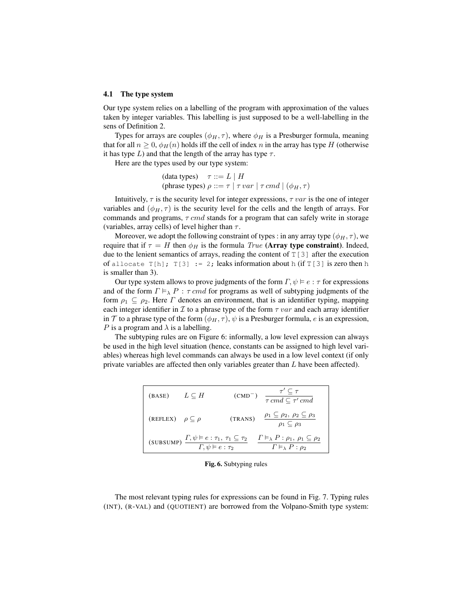#### 4.1 The type system

Our type system relies on a labelling of the program with approximation of the values taken by integer variables. This labelling is just supposed to be a well-labelling in the sens of Definition 2.

Types for arrays are couples  $(\phi_H, \tau)$ , where  $\phi_H$  is a Presburger formula, meaning that for all  $n \geq 0$ ,  $\phi_H(n)$  holds iff the cell of index n in the array has type H (otherwise it has type  $L$ ) and that the length of the array has type  $\tau$ .

Here are the types used by our type system:

$$
\begin{array}{ll}\n\text{(data types)} & \tau ::= L \mid H \\
\text{(phrase types)} \rho ::= \tau \mid \tau \text{ var} \mid \tau \text{ cmd} \mid (\phi_H, \tau)\n\end{array}
$$

Intuitively,  $\tau$  is the security level for integer expressions,  $\tau$  var is the one of integer variables and  $(\phi_H, \tau)$  is the security level for the cells and the length of arrays. For commands and programs,  $\tau$  cmd stands for a program that can safely write in storage (variables, array cells) of level higher than  $\tau$ .

Moreover, we adopt the following constraint of types : in any array type  $(\phi_H, \tau)$ , we require that if  $\tau = H$  then  $\phi_H$  is the formula *True* (Array type constraint). Indeed, due to the lenient semantics of arrays, reading the content of  $T[3]$  after the execution of allocate  $T[h]$ ;  $T[3] := 2$ ; leaks information about h (if  $T[3]$  is zero then h is smaller than 3).

Our type system allows to prove judgments of the form  $\Gamma$ ,  $\psi \models e : \tau$  for expressions and of the form  $\Gamma \vDash_{\lambda} P : \tau \text{ and for programs as well of subtyping judgments of the$ form  $\rho_1 \subseteq \rho_2$ . Here  $\Gamma$  denotes an environment, that is an identifier typing, mapping each integer identifier in  $\mathcal I$  to a phrase type of the form  $\tau$  var and each array identifier in T to a phrase type of the form  $(\phi_H, \tau)$ ,  $\psi$  is a Presburger formula, e is an expression, P is a program and  $\lambda$  is a labelling.

The subtyping rules are on Figure 6: informally, a low level expression can always be used in the high level situation (hence, constants can be assigned to high level variables) whereas high level commands can always be used in a low level context (if only private variables are affected then only variables greater than  $L$  have been affected).

| (BASE)                       | $L \subset H$ | (CMD <sup>-</sup> ) $\frac{\tau' \subseteq \tau}{\tau \, cmd \subseteq \tau' \, cmd}$                                                                                                                               |
|------------------------------|---------------|---------------------------------------------------------------------------------------------------------------------------------------------------------------------------------------------------------------------|
| (REFLEX) $\rho \subset \rho$ |               | (TRANS) $\frac{\rho_1 \subseteq \rho_2, \ \rho_2 \subseteq \rho_3}{\rho_1 \subseteq \rho_3}$                                                                                                                        |
|                              |               | (SUBSUMP) $\frac{\Gamma, \psi \vDash e : \tau_1, \tau_1 \subseteq \tau_2}{\Gamma, \psi \vDash e : \tau_2}$ $\frac{\Gamma \vDash_{\lambda} P : \rho_1, \rho_1 \subseteq \rho_2}{\Gamma \vDash_{\lambda} P : \rho_2}$ |

Fig. 6. Subtyping rules

The most relevant typing rules for expressions can be found in Fig. 7. Typing rules (INT), (R-VAL) and (QUOTIENT) are borrowed from the Volpano-Smith type system: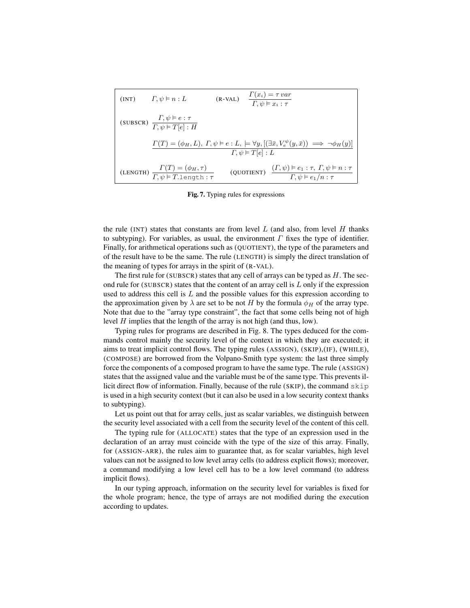| $(TNT)$ $\Gamma, \psi \models n : L$                                                     | $(R\text{-VAL})$ $\frac{\Gamma(x_i) = \tau \, var}{\Gamma, \psi \models x_i : \tau}$                                                                                             |
|------------------------------------------------------------------------------------------|----------------------------------------------------------------------------------------------------------------------------------------------------------------------------------|
| (SUBSCR) $\frac{\Gamma, \psi \vDash e : \tau}{\Gamma, \psi \vDash T[e] : H}$             |                                                                                                                                                                                  |
|                                                                                          | $\Gamma(T) = (\phi_H, L), \Gamma, \psi \models e : L, \models \forall y, [(\exists \bar{x}, V_e^{\psi}(y, \bar{x})) \implies \neg \phi_H(y)]$<br>$\Gamma, \psi \models T[e] : L$ |
| (LENGTH) $\frac{\Gamma(T) = (\phi_H, \tau)}{\Gamma, \psi \models T.\text{length}: \tau}$ | (QUOTIENT) $(\Gamma, \psi) \models e_1 : \tau, \Gamma, \psi \models n : \tau$<br>$\Gamma, \psi \models e_1/n : \tau$                                                             |

Fig. 7. Typing rules for expressions

the rule (INT) states that constants are from level  $L$  (and also, from level  $H$  thanks to subtyping). For variables, as usual, the environment  $\Gamma$  fixes the type of identifier. Finally, for arithmetical operations such as (QUOTIENT), the type of the parameters and of the result have to be the same. The rule (LENGTH) is simply the direct translation of the meaning of types for arrays in the spirit of (R-VAL).

The first rule for (SUBSCR) states that any cell of arrays can be typed as  $H$ . The second rule for (SUBSCR) states that the content of an array cell is L only if the expression used to address this cell is  $L$  and the possible values for this expression according to the approximation given by  $\lambda$  are set to be not H by the formula  $\phi_H$  of the array type. Note that due to the "array type constraint", the fact that some cells being not of high level H implies that the length of the array is not high (and thus, low).

Typing rules for programs are described in Fig. 8. The types deduced for the commands control mainly the security level of the context in which they are executed; it aims to treat implicit control flows. The typing rules (ASSIGN), (SKIP),(IF), (WHILE), (COMPOSE) are borrowed from the Volpano-Smith type system: the last three simply force the components of a composed program to have the same type. The rule (ASSIGN) states that the assigned value and the variable must be of the same type. This prevents illicit direct flow of information. Finally, because of the rule (SKIP), the command skip is used in a high security context (but it can also be used in a low security context thanks to subtyping).

Let us point out that for array cells, just as scalar variables, we distinguish between the security level associated with a cell from the security level of the content of this cell.

The typing rule for (ALLOCATE) states that the type of an expression used in the declaration of an array must coincide with the type of the size of this array. Finally, for (ASSIGN-ARR), the rules aim to guarantee that, as for scalar variables, high level values can not be assigned to low level array cells (to address explicit flows); moreover, a command modifying a low level cell has to be a low level command (to address implicit flows).

In our typing approach, information on the security level for variables is fixed for the whole program; hence, the type of arrays are not modified during the execution according to updates.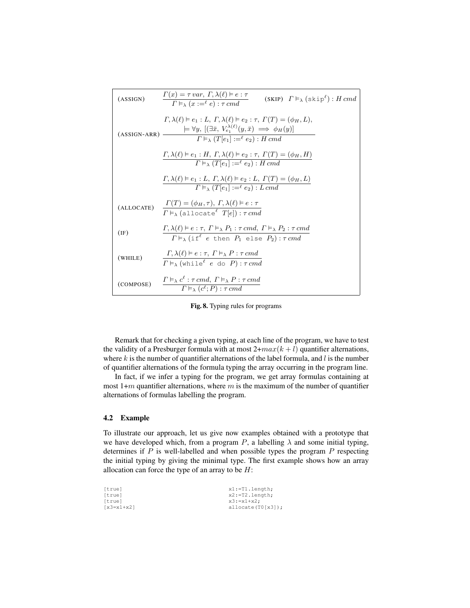| (ASSIGN)       | $\Gamma(x) = \tau \, var, \, \Gamma, \lambda(\ell) \vDash e : \tau$<br>(SKIP) $\Gamma \vDash_{\lambda} (\text{skip}^{\ell}) : H \, \text{cmd}$<br>$\Gamma \vDash_{\lambda} (x :=^{\ell} e) : \tau \, \text{cmd}$                                                        |
|----------------|-------------------------------------------------------------------------------------------------------------------------------------------------------------------------------------------------------------------------------------------------------------------------|
| $(ASSIGN-ARR)$ | $\Gamma, \lambda(\ell) \vDash e_1: L, \Gamma, \lambda(\ell) \vDash e_2: \tau, \Gamma(T) = (\phi_H, L),$<br>$\models \forall y, \; [(\exists \bar{x}, V_{e_1}^{\lambda(\ell)}(y,\bar{x}) \implies \phi_H(y)]$<br>$\Gamma \models_{\lambda} (T[e_1]:=^{\ell}e_2): H\,cm]$ |
|                | $\Gamma, \lambda(\ell) \vDash e_1 : H, \Gamma, \lambda(\ell) \vDash e_2 : \tau, \Gamma(T) = (\phi_H, H)$<br>$\Gamma \vDash_{\lambda} (T[e_1] := e_2) : H \, cmd$                                                                                                        |
|                | $\Gamma, \lambda(\ell) \vDash e_1: L, \Gamma, \lambda(\ell) \vDash e_2: L, \Gamma(T) = (\phi_H, L)$<br>$\Gamma \models_{\lambda} (T[e_1]:=^{\ell}e_2): Lcmd$                                                                                                            |
| (ALLOCATE)     | $\Gamma(T) = (\phi_H, \tau), \Gamma, \lambda(\ell) \models e : \tau$<br>$\Gamma \vDash_{\lambda}$ (allocate <sup><math>\ell</math></sup> $T[e]$ ): $\tau$ cmd                                                                                                           |
| (IF)           | $\Gamma, \lambda(\ell) \models e : \tau, \Gamma \models_{\lambda} P_1 : \tau \text{ cmd}, \Gamma \models_{\lambda} P_2 : \tau \text{ cmd}$<br>$\Gamma \vDash_{\lambda} (\text{if}^{\ell} e \text{ then } P_1 \text{ else } P_2) : \tau \text{ and }$                    |
| (WHILE)        | $\Gamma, \lambda(\ell) \vDash e : \tau, \Gamma \vDash_{\lambda} P : \tau \text{ cmd}$<br>$\Gamma \vDash_{\lambda}$ (while $e$ do $P$ ): $\tau$ cmd                                                                                                                      |
| (COMPOSE)      | $\Gamma \vDash_{\lambda} c^{\ell} : \tau \text{ cmd}, \Gamma \vDash_{\lambda} P : \tau \text{ cmd}$<br>$\overline{\Gamma \vDash_{\lambda} (c^{\ell}:P) : \tau}$ cmd                                                                                                     |

Fig. 8. Typing rules for programs

Remark that for checking a given typing, at each line of the program, we have to test the validity of a Presburger formula with at most  $2 + max(k + l)$  quantifier alternations, where  $k$  is the number of quantifier alternations of the label formula, and  $l$  is the number of quantifier alternations of the formula typing the array occurring in the program line.

In fact, if we infer a typing for the program, we get array formulas containing at most  $1+m$  quantifier alternations, where m is the maximum of the number of quantifier alternations of formulas labelling the program.

## 4.2 Example

To illustrate our approach, let us give now examples obtained with a prototype that we have developed which, from a program  $P$ , a labelling  $\lambda$  and some initial typing, determines if  $P$  is well-labelled and when possible types the program  $P$  respecting the initial typing by giving the minimal type. The first example shows how an array allocation can force the type of an array to be  $H$ :

| [true]       | $x1:=T1$ . length; |
|--------------|--------------------|
| [true]       | $x2:=T2.1$ ength;  |
| [true]       | $x3:=x1+x2$ :      |
| $[x3=x1+x2]$ | allocate(T0[x3]);  |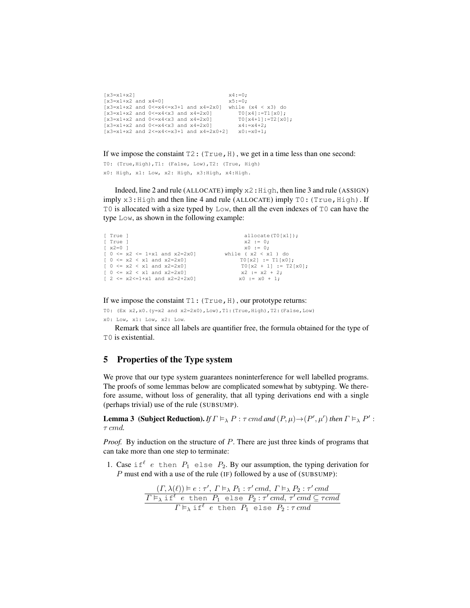$[x3=x1+x2]$ <br> $[x3=x1+x2$  and  $x4=0$ ]<br> $[x5:=0;$ <br> $x5:=0;$  $[x3=x1+x2 \text{ and } x4=0]$  $[x3=x1+x2$  and  $0<=x4<=x3+1$  and  $x4=2x0$ ] while  $(x4 < x3)$  do  $[x3=x1+x2$  and  $0<-x4 and  $x4=2x0$ <br>  $[x3=x1+x2$  and  $0<-x4 and  $x4=2x0$ <br>
T0 $[x4+1]:=T2[x0]$ ;$$  $[x3=x1+x2 \text{ and } 0<=x4 TO  $[x4+1]$ :<br>Tx3=x1+x2 and  $0<=x4]  $x4:=x4+2$ ;$$  $[x3=x1+x2$  and  $0 \le x4 \le x3$  and  $x4=2x0$ ]  $[x3=x1+x2$  and  $2 \le x4 \le x3+1$  and  $x4=2x0+2$ ]  $x0:=x0+1$ ;

If we impose the constaint  $T2$ : (True, H), we get in a time less than one second:

T0: (True,High),T1: (False, Low),T2: (True, High) x0: High, x1: Low, x2: High, x3:High, x4:High.

Indeed, line 2 and rule (ALLOCATE) imply x2:High, then line 3 and rule (ASSIGN) imply  $x3:$  High and then line 4 and rule (ALLOCATE) imply  $T0:$  (True, High). If T0 is allocated with a size typed by  $Low$ , then all the even indexes of T0 can have the type Low, as shown in the following example:

```
[ True ] allocate(T0[x1]);
\begin{array}{ccc} \text{[ True]} & & \text{x2} := 0; \\ \text{[ x2=0 ]} & & \text{x0} := 0; \end{array}x0 := 0;<br>while (x2 < x1) do
[0 \le x^2 \le 1+x^2 \text{ and } x^2=2x^0][0 \le x2 \le x1 \text{ and } x2=2x0]<br>[0 \le x2 \le x1 \text{ and } x2=2x0]T0 [ x2 ] := T1 [ x0 ];<br>
T0 [ x2 + 1 ] := T2 [ x0 ];<br>
x2 := x2 + 2;[ 0 \le x^2 \le x^1 \text{ and } x^2 = 2x^0][ 2 <= x2<=1+x1 \text{ and } x2=2+2x0 ] \hspace{2.5cm} x0 := x0 + 1;
```
If we impose the constaint  $T1$ : (True, H), our prototype returns:

```
T0: (EX X2, x0. (y=x2 and x2=2x0), Low, T1: (True, High), T2: (False, Low)x0: Low, x1: Low, x2: Low.
```
Remark that since all labels are quantifier free, the formula obtained for the type of T0 is existential.

# 5 Properties of the Type system

We prove that our type system guarantees noninterference for well labelled programs. The proofs of some lemmas below are complicated somewhat by subtyping. We therefore assume, without loss of generality, that all typing derivations end with a single (perhaps trivial) use of the rule (SUBSUMP).

**Lemma 3** (Subject Reduction). *If*  $\Gamma \vDash_{\lambda} P : \tau$  *cmd and*  $(P, \mu) \rightarrow (P', \mu')$  *then*  $\Gamma \vDash_{\lambda} P' :$ τ cmd*.*

*Proof.* By induction on the structure of P. There are just three kinds of programs that can take more than one step to terminate:

1. Case if  $e$  then  $P_1$  else  $P_2$ . By our assumption, the typing derivation for P must end with a use of the rule (IF) followed by a use of (SUBSUMP):

$$
\frac{(\Gamma,\lambda(\ell))\models e:\tau',\ \Gamma \models_{\lambda} P_1:\tau' \ cmd,\ \Gamma \models_{\lambda} P_2:\tau' \ cmd}{\Gamma \models_{\lambda} \text{if}^{\ell} \ e \ \text{then} \ P_1 \ \text{else} \ P_2:\tau' \ cmd,\ \tau' \ cmd \subseteq \tau cmd}
$$
\n
$$
\Gamma \models_{\lambda} \text{if}^{\ell} \ e \ \text{then} \ P_1 \ \text{else} \ P_2:\tau \ cmd
$$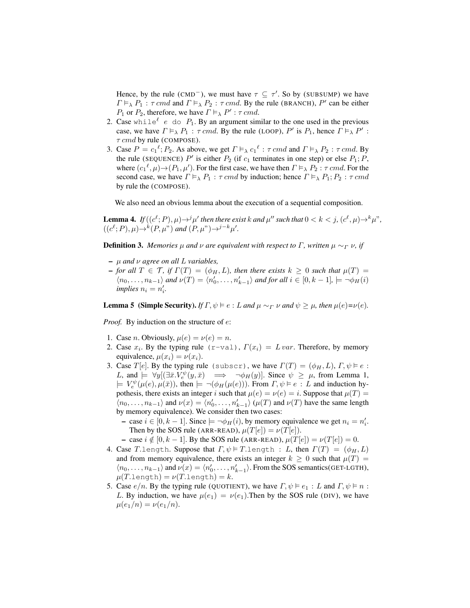Hence, by the rule (CMD<sup>-</sup>), we must have  $\tau \subseteq \tau'$ . So by (SUBSUMP) we have  $\Gamma \vDash_{\lambda} P_1 : \tau \text{ cm} d$  and  $\Gamma \vDash_{\lambda} P_2 : \tau \text{ cm} d$ . By the rule (BRANCH), P' can be either  $P_1$  or  $P_2$ , therefore, we have  $\Gamma \vDash_{\lambda} P' : \tau$  cmd.

- 2. Case while  $^{\ell}$  e do  $P_1$ . By an argument similar to the one used in the previous case, we have  $\Gamma \vDash_{\lambda} P_1 : \tau \text{ cmd. By the rule (LOOP), } P'$  is  $P_1$ , hence  $\Gamma \vDash_{\lambda} P'$ :  $\tau$  cmd by rule (COMPOSE).
- 3. Case  $P = c_1^{\ell}; P_2$ . As above, we get  $\Gamma \vDash_{\lambda} c_1^{\ell} : \tau \text{ cm}d$  and  $\Gamma \vDash_{\lambda} P_2 : \tau \text{ cm}d$ . By the rule (SEQUENCE) P' is either  $P_2$  (if  $c_1$  terminates in one step) or else  $P_1$ ; P, where  $(c_1^{\ell}, \mu) \rightarrow (P_1, \mu')$ . For the first case, we have then  $\Gamma \vDash_{\lambda} P_2 : \tau \text{ cmd}$ . For the second case, we have  $\Gamma \vDash_{\lambda} P_1 : \tau \text{ and by induction; hence } \Gamma \vDash_{\lambda} P_1; P_2 : \tau \text{ and}$ by rule the (COMPOSE).

We also need an obvious lemma about the execution of a sequential composition.

**Lemma 4.** If  $((c^{\ell}; P), \mu) \rightarrow^j \mu'$  then there exist k and  $\mu''$  such that  $0 < k < j$ ,  $(c^{\ell}, \mu) \rightarrow^k \mu''$ ,  $((c^{\ell}; P), \mu) \rightarrow^{k}(P, \mu^{n})$  and  $(P, \mu^{n}) \rightarrow^{j-k} \mu^{j}$ .

**Definition 3.** *Memories*  $\mu$  *and*  $\nu$  *are equivalent with respect to*  $\Gamma$ *, written*  $\mu \sim_{\Gamma} \nu$ *, if* 

- µ *and* ν *agree on all* L *variables,*
- $-$  *for all*  $T \in \mathcal{T}$ *, if*  $\Gamma(T) = (\phi_H, L)$ *, then there exists*  $k \geq 0$  *such that*  $\mu(T) =$  $\langle n_0, \ldots, n_{k-1} \rangle$  and  $\nu(T) = \langle n'_0, \ldots, n'_{k-1} \rangle$  and for all  $i \in [0, k-1]$ ,  $\models \neg \phi_H(i)$ *implies*  $n_i = n'_i$ .

**Lemma 5 (Simple Security).** *If*  $\Gamma, \psi \models e : L$  *and*  $\mu \sim_{\Gamma} \nu$  *and*  $\psi \geq \mu$ *, then*  $\mu(e) = \nu(e)$ *.* 

*Proof.* By induction on the structure of  $e$ :

- 1. Case *n*. Obviously,  $\mu(e) = \nu(e) = n$ .
- 2. Case  $x_i$ . By the typing rule (r-val),  $\Gamma(x_i) = L \nu a r$ . Therefore, by memory equivalence,  $\mu(x_i) = \nu(x_i)$ .
- 3. Case  $T[e]$ . By the typing rule (subscr), we have  $\Gamma(T) = (\phi_H, L), \Gamma, \psi \models e$ : L, and  $\models \forall y [(\exists \bar{x}. V_e^{\psi}(y, \bar{x}) \implies \neg \phi_H(y)].$  Since  $\psi \geq \mu$ , from Lemma 1,  $\models V_e^{\psi}(\mu(e), \mu(\bar{x}))$ , then  $\models \neg(\phi_H(\mu(e)))$ . From  $\Gamma, \psi \models e : L$  and induction hypothesis, there exists an integer i such that  $\mu(e) = \nu(e) = i$ . Suppose that  $\mu(T) =$  $\langle n_0, \ldots, n_{k-1} \rangle$  and  $\nu(x) = \langle n'_0, \ldots, n'_{k-1} \rangle$   $(\mu(T)$  and  $\nu(T)$  have the same length by memory equivalence). We consider then two cases:
	- case  $i \in [0, k-1]$ . Since  $\models \neg \phi_H(i)$ , by memory equivalence we get  $n_i = n'_i$ . Then by the SOS rule (ARR-READ),  $\mu(T[e]) = \nu(T[e])$ .
	- case  $i \notin [0, k-1]$ . By the SOS rule (ARR-READ),  $\mu(T[e]) = \nu(T[e]) = 0$ .
- 4. Case T.length. Suppose that  $\Gamma, \psi \models T$ .length : L, then  $\Gamma(T) = (\phi_H, L)$ and from memory equivalence, there exists an integer  $k \geq 0$  such that  $\mu(T) =$  $\langle n_0, \ldots, n_{k-1} \rangle$  and  $\nu(x) = \langle n'_0, \ldots, n'_{k-1} \rangle$ . From the SOS semantics(GET-LGTH),  $\mu(T.\text{length}) = \nu(T.\text{length}) = k.$
- 5. Case  $e/n$ . By the typing rule (QUOTIENT), we have  $\Gamma, \psi \models e_1 : L$  and  $\Gamma, \psi \models n : L$ L. By induction, we have  $\mu(e_1) = \nu(e_1)$ . Then by the SOS rule (DIV), we have  $\mu(e_1/n) = \nu(e_1/n).$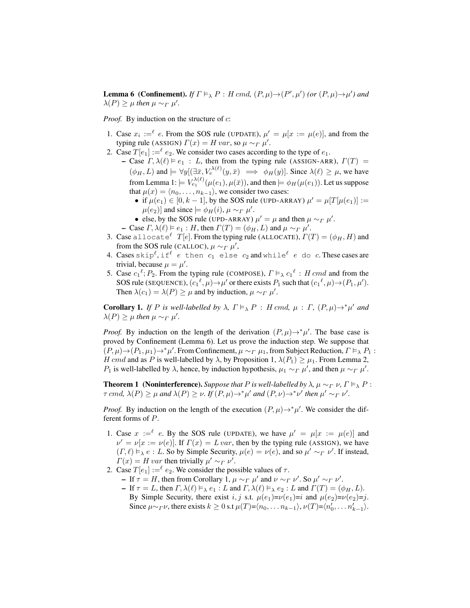**Lemma 6** (Confinement). *If*  $\Gamma \vDash_{\lambda} P : H \text{ cmd}, (P, \mu) \rightarrow (P', \mu') \text{ (or } (P, \mu) \rightarrow \mu')$  and  $\lambda(P) \geq \mu$  then  $\mu \sim_P \mu'$ .

*Proof.* By induction on the structure of c:

- 1. Case  $x_i :=^{\ell} e$ . From the SOS rule (UPDATE),  $\mu' = \mu[x := \mu(e)]$ , and from the typing rule (ASSIGN)  $\Gamma(x) = H \text{ var}$ , so  $\mu \sim_{\Gamma} \mu'$ .
- 2. Case  $T[e_1] := \ell e_2$ . We consider two cases according to the type of  $e_1$ .
	- Case  $\Gamma$ ,  $\lambda(\ell) \models e_1 : L$ , then from the typing rule (ASSIGN-ARR),  $\Gamma(T)$  =  $(\phi_H, L)$  and  $\models \forall y [(\exists \bar{x}, V_e^{\lambda(\ell)}(y, \bar{x}) \implies \phi_H(y)].$  Since  $\lambda(\ell) \geq \mu$ , we have from Lemma 1:  $\models V_{e_1}^{\lambda(\ell)}(\mu(e_1), \mu(\bar{x}))$ , and then  $\models \phi_H(\mu(e_1))$ . Let us suppose that  $\mu(x) = \langle n_0, \ldots, n_{k-1} \rangle$ , we consider two cases:
		- if  $\mu(e_1) \in [0, k-1]$ , by the SOS rule (UPD-ARRAY)  $\mu' = \mu[T[\mu(e_1)] :=$  $\mu(e_2)$ ] and since  $\models \phi_H(i), \mu \sim_{\Gamma} \mu'.$
		- else, by the SOS rule (UPD-ARRAY)  $\mu' = \mu$  and then  $\mu \sim_{\Gamma} \mu'$ .
	- Case Γ,  $\lambda$ ( $\ell$ )  $\models e_1 : H$ , then  $\Gamma(T) = (\phi_H, L)$  and  $\mu \sim_{\Gamma} \mu'$ .
- 3. Case allocate<sup> $\ell$ </sup> T[e]. From the typing rule (ALLOCATE),  $\Gamma(T) = (\phi_H, H)$  and from the SOS rule (CALLOC),  $\mu \sim_{\Gamma} \mu'$ ,
- 4.  $\mathsf{Cases}\text{ skip}^\ell, \text{if}^\ell$   $e$  then  $c_1$  else  $c_2$  and while $^\ell$   $e$  do  $c.$  These cases are trivial, because  $\mu = \mu'$ .
- 5. Case  $c_1^{\ell}$ ;  $P_2$ . From the typing rule (COMPOSE),  $\Gamma \vDash_{\lambda} c_1^{\ell}$ : H cmd and from the SOS rule (SEQUENCE),  $(c_1{}^{\ell}, \mu) \rightarrow \mu'$  or there exists  $P_1$  such that  $(c_1{}^{\ell}, \mu) \rightarrow (P_1, \mu').$ Then  $\lambda(c_1) = \lambda(P) \ge \mu$  and by induction,  $\mu \sim_P \mu'$ .

**Corollary 1.** *If* P *is well-labelled by*  $\lambda$ ,  $\Gamma \models_{\lambda} P : H \text{ cmd}, \mu : \Gamma, (P, \mu) \rightarrow^* \mu'$  and  $\lambda(P) \geq \mu$  then  $\mu \sim_P \mu'$ .

*Proof.* By induction on the length of the derivation  $(P, \mu) \rightarrow^* \mu'$ . The base case is proved by Confinement (Lemma 6). Let us prove the induction step. We suppose that  $(P, \mu) \rightarrow (P_1, \mu_1) \rightarrow^* \mu'$ . From Confinement,  $\mu \sim_{\Gamma} \mu_1$ , from Subject Reduction,  $\Gamma \vDash_{\lambda} P_1$ : H cmd and as P is well-labelled by  $\lambda$ , by Proposition 1,  $\lambda(P_1) \geq \mu_1$ . From Lemma 2, P<sub>1</sub> is well-labelled by  $\lambda$ , hence, by induction hypothesis,  $\mu_1 \sim_{\Gamma} \mu'$ , and then  $\mu \sim_{\Gamma} \mu'$ .

**Theorem 1** (Noninterference). *Suppose that* P *is well-labelled by*  $\lambda$ ,  $\mu \sim_{\Gamma} \nu$ ,  $\Gamma \models_{\lambda} P$ :  $\tau$  cmd,  $\lambda(P) \geq \mu$  and  $\lambda(P) \geq \nu$ . If  $(P, \mu) \rightarrow^* \mu'$  and  $(P, \nu) \rightarrow^* \nu'$  then  $\mu' \sim_P \nu'$ .

*Proof.* By induction on the length of the execution  $(P, \mu) \rightarrow^* \mu'$ . We consider the different forms of P.

- 1. Case  $x :=^{\ell} e$ . By the SOS rule (UPDATE), we have  $\mu' = \mu[x := \mu(e)]$  and  $\nu' = \nu[x := \nu(e)]$ . If  $\Gamma(x) = L \nu a r$ , then by the typing rule (ASSIGN), we have  $(T, \ell) \vDash_{\lambda} e : L$ . So by Simple Security,  $\mu(e) = \nu(e)$ , and so  $\mu' \sim_{\Gamma} \nu'$ . If instead,  $\Gamma(x) = H$  var then trivially  $\mu' \sim_{\Gamma} \nu'$ .
- 2. Case  $T[e_1] := e_2$ . We consider the possible values of  $\tau$ .
	- If  $\tau = H$ , then from Corollary 1,  $\mu \sim_{\Gamma} \mu'$  and  $\nu \sim_{\Gamma} \nu'$ . So  $\mu' \sim_{\Gamma} \nu'$ .
	- If  $\tau = L$ , then  $\Gamma$ ,  $\lambda(\ell) \vDash_{\lambda} e_1 : L$  and  $\Gamma$ ,  $\lambda(\ell) \vDash_{\lambda} e_2 : L$  and  $\Gamma(T) = (\phi_H, L)$ . By Simple Security, there exist i, j s.t.  $\mu(e_1) = \nu(e_1) = i$  and  $\mu(e_2) = \nu(e_2) = j$ . Since  $\mu \sim_P \nu$ , there exists  $k \geq 0$  s.t  $\mu(T) = \langle n_0, \ldots n_{k-1} \rangle$ ,  $\nu(T) = \langle n'_0, \ldots n'_{k-1} \rangle$ .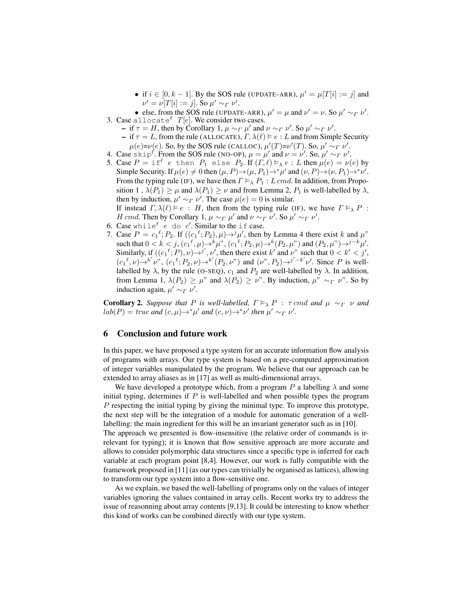- if  $i \in [0, k-1]$ . By the SOS rule (UPDATE-ARR),  $\mu' = \mu[T[i] := j]$  and  $\nu' = \nu[T[i] := j]$ . So  $\mu' \sim_{\Gamma} \nu'$ .
- else, from the SOS rule (UPDATE-ARR),  $\mu' = \mu$  and  $\nu' = \nu$ . So  $\mu' \sim_{\Gamma} \nu'$ . 3. Case allocate  $T[e]$ . We consider two cases.
	- if  $\tau = H$ , then by Corollary 1,  $\mu \sim_{\Gamma} \mu'$  and  $\nu \sim_{\Gamma} \nu'$ . So  $\mu' \sim_{\Gamma} \nu'$ .
	- if  $\tau = L$ , from the rule (ALLOCATE),  $\Gamma$ ,  $\lambda(\ell) \models e : L$  and from Simple Security  $\mu(e)=\nu(e)$ . So, by the SOS rule (CALLOC),  $\mu'(T)=\nu'(T)$ . So,  $\mu' \sim_{\Gamma} \nu'$ .
- 4. Case skip<sup>l</sup>. From the SOS rule (NO-OP),  $\mu = \mu'$  and  $\nu = \nu'$ . So,  $\mu' \sim_{\Gamma} \nu'$ .
- 5. Case  $P = \text{if}^{\ell}$  e then  $P_1$  else  $P_2$ . If  $(\Gamma, \ell) \vDash_{\lambda} e : L$  then  $\mu(e) = \nu(e)$  by Simple Security. If  $\mu(e) \neq 0$  then  $(\mu, P) \rightarrow (\mu, P_1) \rightarrow^* \mu'$  and  $(\nu, P) \rightarrow (\nu, P_1) \rightarrow^* \nu'$ . From the typing rule (IF), we have then  $\Gamma \vDash_{\lambda} P_1 : L \, cmd$ . In addition, from Proposition 1,  $\lambda(P_1) \geq \mu$  and  $\lambda(P_1) \geq \nu$  and from Lemma 2,  $P_1$  is well-labelled by  $\lambda$ , then by induction,  $\mu' \sim_{\Gamma} \nu'$ . The case  $\mu(e) = 0$  is similar. If instead  $\Gamma, \lambda(\ell) \models e : H$ , then from the typing rule (IF), we have  $\Gamma \models_{\lambda} P$ : H cmd. Then by Corollary 1,  $\mu \sim_{\Gamma} \mu'$  and  $\nu \sim_{\Gamma} \nu'$ . So  $\mu' \sim_{\Gamma} \nu'$ .
- 6. Case while  $e$  do  $c'$ . Similar to the if case.
- 7. Case  $P = c_1^{\ell}; P_2$ . If  $((c_1^{\ell}; P_2), \mu) \rightarrow^j \mu'$ , then by Lemma 4 there exist k and  $\mu$ " such that  $0 < k < j$ ,  $(c_1{}^{\ell}, \mu) \rightarrow^k \mu$ ",  $(c_1{}^{\ell}; P_2, \mu) \rightarrow^k (P_2, \mu$ ") and  $(P_2, \mu$ ") $\rightarrow^{j-k} \mu'$ . Similarly, if  $((c_1^{\ell}; P), \nu) \rightarrow^{j'}$ ,  $\nu'$ , then there exist k' and  $\nu''$  such that  $0 < k' < j'$ ,  $(c_1^{\ell}, \nu) \rightarrow^{k'} \nu^{\nu}$ ,  $(c_1^{\ell}; P_2, \nu) \rightarrow^{k'} (P_2, \nu^{\nu})$  and  $(\nu^{\nu}, P_2) \rightarrow^{j'-k'} \nu'$ . Since P is welllabelled by  $\lambda$ , by the rule (O-SEQ),  $c_1$  and  $P_2$  are well-labelled by  $\lambda$ . In addition, from Lemma 1,  $\lambda(P_2) \geq \mu^{\nu}$  and  $\lambda(P_2) \geq \nu^{\nu}$ . By induction,  $\mu^{\nu} \sim_{\Gamma} \nu^{\nu}$ . So by induction again,  $\mu' \sim_{\Gamma} \nu'$ .

**Corollary 2.** *Suppose that* P *is well-labelled,*  $\Gamma \models_{\lambda} P : \tau \text{ cmd}$  *and*  $\mu \sim_{\Gamma} \nu$  *and*  $lab(P) = true$  and  $(c, \mu) \rightarrow^* \mu'$  and  $(c, \nu) \rightarrow^* \nu'$  then  $\mu' \sim_P \nu'$ .

## 6 Conclusion and future work

In this paper, we have proposed a type system for an accurate information flow analysis of programs with arrays. Our type system is based on a pre-computed approximation of integer variables manipulated by the program. We believe that our approach can be extended to array aliases as in [17] as well as multi-dimensional arrays.

We have developed a prototype which, from a program  $P$  a labelling  $\lambda$  and some initial typing, determines if  $P$  is well-labelled and when possible types the program P respecting the initial typing by giving the minimal type. To improve this prototype, the next step will be the integration of a module for automatic generation of a welllabelling: the main ingredient for this will be an invariant generator such as in [10].

The approach we presented is flow-insensitive (the relative order of commands is irrelevant for typing); it is known that flow sensitive approach are more accurate and allows to consider polymorphic data structures since a specific type is inferred for each variable at each program point [8,4]. However, our work is fully compatible with the framework proposed in [11] (as our types can trivially be organised as lattices), allowing to transform our type system into a flow-sensitive one.

As we explain, we based the well-labelling of programs only on the values of integer variables ignoring the values contained in array cells. Recent works try to address the issue of reasonning about array contents [9,13]. It could be interesting to know whether this kind of works can be combined directly with our type system.